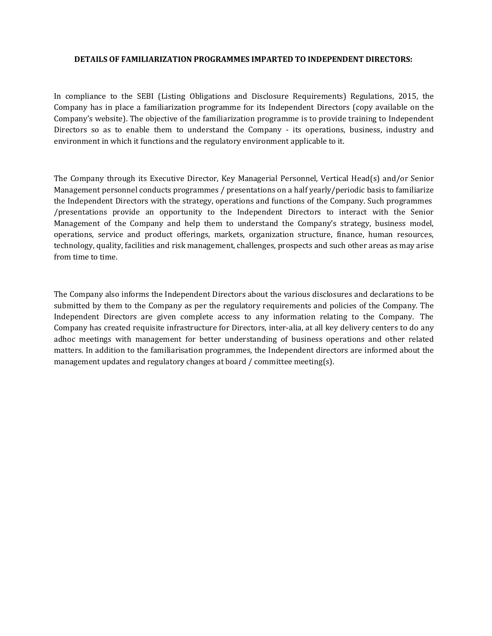#### DETAILS OF FAMILIARIZATION PROGRAMMES IMPARTED TO INDEPENDENT DIRECTORS:

In compliance to the SEBI (Listing Obligations and Disclosure Requirements) Regulations, 2015, the Company has in place a familiarization programme for its Independent Directors (copy available on the Company's website). The objective of the familiarization programme is to provide training to Independent Directors so as to enable them to understand the Company - its operations, business, industry and environment in which it functions and the regulatory environment applicable to it.

The Company through its Executive Director, Key Managerial Personnel, Vertical Head(s) and/or Senior Management personnel conducts programmes / presentations on a half yearly/periodic basis to familiarize the Independent Directors with the strategy, operations and functions of the Company. Such programmes /presentations provide an opportunity to the Independent Directors to interact with the Senior Management of the Company and help them to understand the Company's strategy, business model, operations, service and product offerings, markets, organization structure, finance, human resources, technology, quality, facilities and risk management, challenges, prospects and such other areas as may arise from time to time.

The Company also informs the Independent Directors about the various disclosures and declarations to be submitted by them to the Company as per the regulatory requirements and policies of the Company. The Independent Directors are given complete access to any information relating to the Company. The Company has created requisite infrastructure for Directors, inter-alia, at all key delivery centers to do any adhoc meetings with management for better understanding of business operations and other related matters. In addition to the familiarisation programmes, the Independent directors are informed about the management updates and regulatory changes at board / committee meeting(s).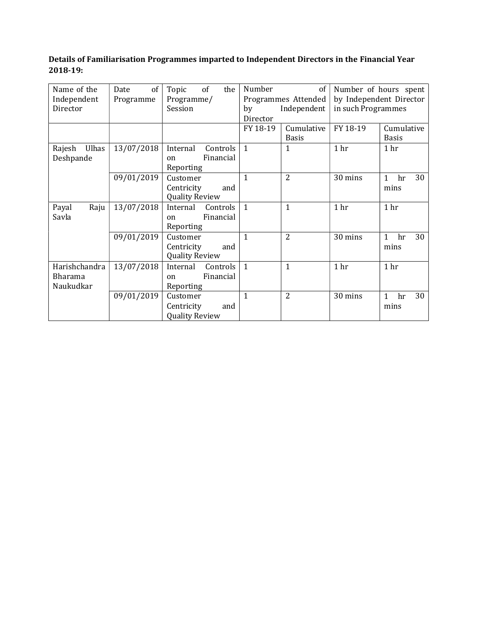## Details of Familiarisation Programmes imparted to Independent Directors in the Financial Year 2018-19:

| Name of the     | of<br>Date | of<br>Topic<br>the         | Number         | of                  | Number of hours spent   |                          |
|-----------------|------------|----------------------------|----------------|---------------------|-------------------------|--------------------------|
| Independent     | Programme  | Programme/                 |                | Programmes Attended | by Independent Director |                          |
| Director        |            | Session                    | by             | Independent         | in such Programmes      |                          |
|                 |            |                            | Director       |                     |                         |                          |
|                 |            |                            | FY 18-19       | Cumulative          | FY 18-19                | Cumulative               |
|                 |            |                            |                | <b>Basis</b>        |                         | <b>Basis</b>             |
| Ulhas<br>Rajesh | 13/07/2018 | Controls<br>Internal       | $\mathbf{1}$   | 1                   | 1 <sub>hr</sub>         | 1 <sub>hr</sub>          |
| Deshpande       |            | Financial<br><sub>on</sub> |                |                     |                         |                          |
|                 |            | Reporting                  |                |                     |                         |                          |
|                 | 09/01/2019 | Customer                   | 1              | $\overline{2}$      | 30 mins                 | 30<br>1<br>hr            |
|                 |            | Centricity<br>and          |                |                     |                         | mins                     |
|                 |            | <b>Quality Review</b>      |                |                     |                         |                          |
| Payal<br>Raju   | 13/07/2018 | Internal<br>Controls       | $\overline{1}$ | 1                   | 1 hr                    | 1 hr                     |
| Savla           |            | Financial<br><sub>on</sub> |                |                     |                         |                          |
|                 |            | Reporting                  |                |                     |                         |                          |
|                 | 09/01/2019 | Customer                   | $\mathbf{1}$   | $\overline{2}$      | 30 mins                 | 30<br>$\mathbf{1}$<br>hr |
|                 |            | Centricity<br>and          |                |                     |                         | mins                     |
|                 |            | <b>Quality Review</b>      |                |                     |                         |                          |
| Harishchandra   | 13/07/2018 | Internal<br>Controls       | $\overline{1}$ | 1                   | 1 <sub>hr</sub>         | 1 <sub>hr</sub>          |
| <b>Bharama</b>  |            | Financial<br><sub>on</sub> |                |                     |                         |                          |
| Naukudkar       |            | Reporting                  |                |                     |                         |                          |
|                 | 09/01/2019 | Customer                   | 1              | $\overline{2}$      | 30 mins                 | 30<br>1<br>hr            |
|                 |            | Centricity<br>and          |                |                     |                         | mins                     |
|                 |            | <b>Quality Review</b>      |                |                     |                         |                          |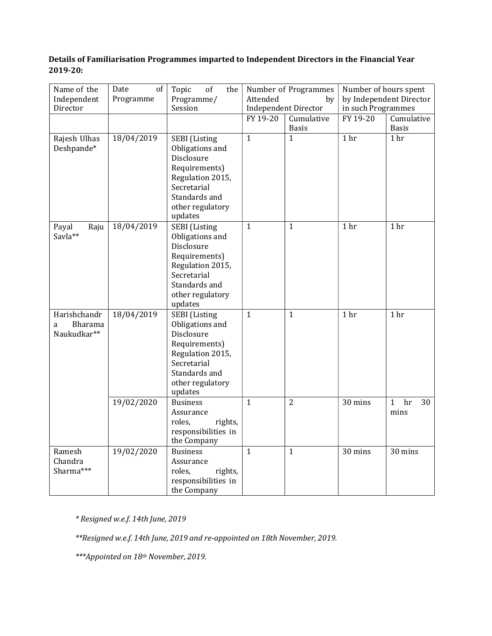### Details of Familiarisation Programmes imparted to Independent Directors in the Financial Year 2019-20:

| Name of the<br>Independent<br>Director      | Date<br>of<br>Programme | of<br>Topic<br>the<br>Programme/<br>Session                                                                                                               | Number of Programmes<br>Attended<br>by<br><b>Independent Director</b> |                            | Number of hours spent<br>by Independent Director<br>in such Programmes |                                  |
|---------------------------------------------|-------------------------|-----------------------------------------------------------------------------------------------------------------------------------------------------------|-----------------------------------------------------------------------|----------------------------|------------------------------------------------------------------------|----------------------------------|
|                                             |                         |                                                                                                                                                           | FY 19-20                                                              | Cumulative<br><b>Basis</b> | FY 19-20                                                               | Cumulative<br><b>Basis</b>       |
| Rajesh Ulhas<br>Deshpande*                  | 18/04/2019              | <b>SEBI</b> (Listing<br>Obligations and<br>Disclosure<br>Requirements)<br>Regulation 2015,<br>Secretarial<br>Standards and<br>other regulatory<br>updates | $\mathbf{1}$                                                          | $\mathbf{1}$               | 1 <sub>hr</sub>                                                        | 1 <sub>hr</sub>                  |
| Raju<br>Payal<br>Savla**                    | 18/04/2019              | <b>SEBI</b> (Listing<br>Obligations and<br>Disclosure<br>Requirements)<br>Regulation 2015,<br>Secretarial<br>Standards and<br>other regulatory<br>updates | $\mathbf{1}$                                                          | $\mathbf{1}$               | 1 <sub>hr</sub>                                                        | 1 hr                             |
| Harishchandr<br>Bharama<br>a<br>Naukudkar** | 18/04/2019              | <b>SEBI</b> (Listing<br>Obligations and<br>Disclosure<br>Requirements)<br>Regulation 2015,<br>Secretarial<br>Standards and<br>other regulatory<br>updates | $\mathbf{1}$                                                          | $\mathbf{1}$               | 1 <sub>hr</sub>                                                        | 1 hr                             |
|                                             | 19/02/2020              | <b>Business</b><br>Assurance<br>roles,<br>rights,<br>responsibilities in<br>the Company                                                                   | $\mathbf{1}$                                                          | $\overline{2}$             | 30 mins                                                                | $\mathbf{1}$<br>hr<br>30<br>mins |
| Ramesh<br>Chandra<br>Sharma***              | 19/02/2020              | <b>Business</b><br>Assurance<br>roles,<br>rights,<br>responsibilities in<br>the Company                                                                   | $\mathbf{1}$                                                          | $\mathbf{1}$               | 30 mins                                                                | 30 mins                          |

\* Resigned w.e.f. 14th June, 2019

\*\*Resigned w.e.f. 14th June, 2019 and re-appointed on 18th November, 2019.

\*\*\*Appointed on 18th November, 2019.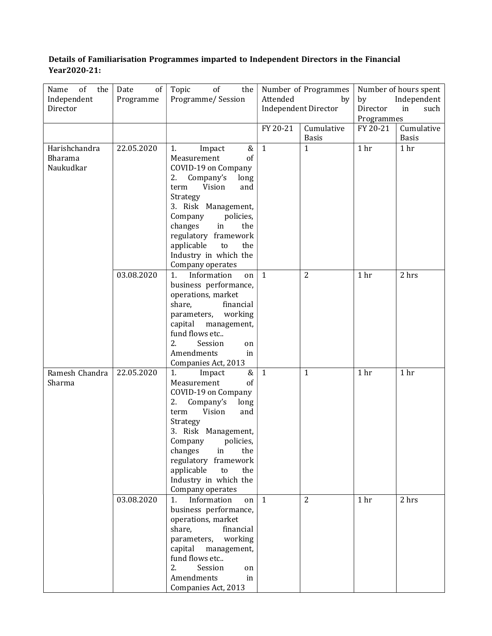# Details of Familiarisation Programmes imparted to Independent Directors in the Financial Year 2020-21:

| of<br>the<br>Name<br>Independent      | Date<br>of<br>Programme  | Topic<br>of<br>the<br>Programme/Session                                                                                                                                                                                                                                                                                                                                                                                                                                                                                                 | Number of Programmes<br>Attended<br>by |                                | Number of hours spent<br>Independent<br>by |                            |
|---------------------------------------|--------------------------|-----------------------------------------------------------------------------------------------------------------------------------------------------------------------------------------------------------------------------------------------------------------------------------------------------------------------------------------------------------------------------------------------------------------------------------------------------------------------------------------------------------------------------------------|----------------------------------------|--------------------------------|--------------------------------------------|----------------------------|
| Director                              |                          |                                                                                                                                                                                                                                                                                                                                                                                                                                                                                                                                         | <b>Independent Director</b>            |                                | Director<br>such<br>in<br>Programmes       |                            |
|                                       |                          |                                                                                                                                                                                                                                                                                                                                                                                                                                                                                                                                         | FY 20-21                               | Cumulative<br><b>Basis</b>     | FY 20-21                                   | Cumulative<br><b>Basis</b> |
| Harishchandra<br>Bharama<br>Naukudkar | 22.05.2020               | Impact<br>&<br>1.<br>Measurement<br>of<br>COVID-19 on Company<br>Company's<br>long<br>2.<br>Vision<br>and<br>term<br>Strategy<br>3. Risk Management,<br>Company<br>policies,<br>changes<br>in<br>the<br>regulatory framework<br>applicable<br>to<br>the<br>Industry in which the<br>Company operates                                                                                                                                                                                                                                    | $\mathbf{1}$                           | $\mathbf{1}$                   | 1 <sub>hr</sub>                            | 1 hr                       |
|                                       | 03.08.2020               | Information<br>1 <sub>1</sub><br>on<br>business performance,<br>operations, market<br>share,<br>financial<br>parameters, working<br>capital management,<br>fund flows etc<br>2.<br>Session<br>on<br>Amendments<br>in<br>Companies Act, 2013                                                                                                                                                                                                                                                                                             | 1                                      | $\overline{2}$                 | 1 hr                                       | 2 hrs                      |
| Ramesh Chandra<br>Sharma              | 22.05.2020<br>03.08.2020 | &<br>1.<br>Impact<br>of<br>Measurement<br>COVID-19 on Company<br>2.<br>Company's<br>long<br>Vision<br>term<br>and<br>Strategy<br>3. Risk Management,<br>Company<br>policies,<br>changes<br>the<br>in<br>regulatory framework<br>applicable<br>the<br>to<br>Industry in which the<br>Company operates<br>Information<br>1.<br>on<br>business performance,<br>operations, market<br>share,<br>financial<br>parameters, working<br>capital management,<br>fund flows etc<br>2.<br>Session<br>on<br>Amendments<br>in<br>Companies Act, 2013 | $\mathbf{1}$<br>1                      | $\mathbf{1}$<br>$\overline{2}$ | 1 hr<br>1 hr                               | 1 hr<br>2 hrs              |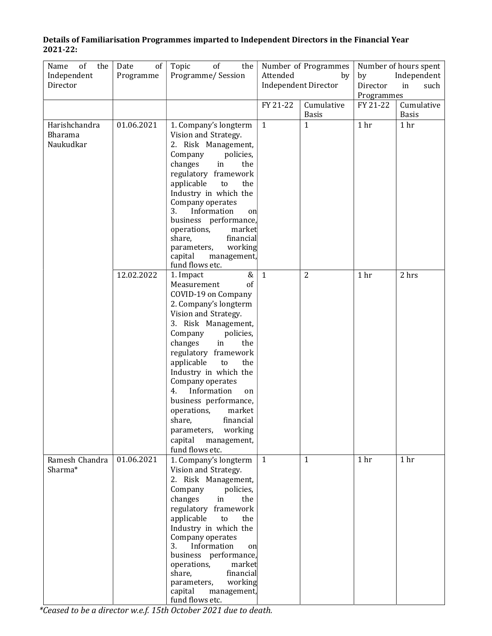| Details of Familiarisation Programmes imparted to Independent Directors in the Financial Year |
|-----------------------------------------------------------------------------------------------|
| 2021-22:                                                                                      |

| of<br>Name<br>the<br>Independent<br>Director | of<br>Date<br>Programme | of<br>Topic<br>the<br>Programme/Session                                                                                                                                                                                                                                                                                                                                                                                                                    | Number of Programmes<br>Attended<br>by<br><b>Independent Director</b> |                            | Number of hours spent<br>Independent<br>by<br>Director<br>in<br>such<br>Programmes |                            |
|----------------------------------------------|-------------------------|------------------------------------------------------------------------------------------------------------------------------------------------------------------------------------------------------------------------------------------------------------------------------------------------------------------------------------------------------------------------------------------------------------------------------------------------------------|-----------------------------------------------------------------------|----------------------------|------------------------------------------------------------------------------------|----------------------------|
|                                              |                         |                                                                                                                                                                                                                                                                                                                                                                                                                                                            | FY 21-22                                                              | Cumulative<br><b>Basis</b> | FY 21-22                                                                           | Cumulative<br><b>Basis</b> |
| Harishchandra<br>Bharama<br>Naukudkar        | 01.06.2021              | 1. Company's longterm<br>Vision and Strategy.<br>2. Risk Management,<br>Company<br>policies,<br>changes<br>the<br>in<br>regulatory framework<br>applicable<br>the<br>to<br>Industry in which the<br>Company operates<br>Information<br>3.<br>on<br>business performance,<br>operations,<br>market<br>share,<br>financial<br>working<br>parameters,<br>capital<br>management,<br>fund flows etc.                                                            | $\mathbf{1}$                                                          | 1                          | 1 <sub>hr</sub>                                                                    | 1 <sub>hr</sub>            |
|                                              | 12.02.2022              | &<br>1. Impact<br>of<br>Measurement<br>COVID-19 on Company<br>2. Company's longterm<br>Vision and Strategy.<br>3. Risk Management,<br>Company<br>policies,<br>changes<br>the<br>in<br>regulatory framework<br>applicable<br>the<br>to<br>Industry in which the<br>Company operates<br>Information<br>4.<br>on<br>business performance,<br>operations,<br>market<br>share,<br>financial<br>parameters, working<br>capital<br>management,<br>fund flows etc. | $\mathbf{1}$                                                          | $\overline{2}$             | 1 <sub>hr</sub>                                                                    | 2 hrs                      |
| Ramesh Chandra<br>Sharma*                    | 01.06.2021              | 1. Company's longterm<br>Vision and Strategy.<br>2. Risk Management,<br>Company<br>policies,<br>changes<br>in<br>the<br>regulatory framework<br>applicable<br>the<br>to<br>Industry in which the<br>Company operates<br>3.<br>Information<br>on<br>business performance,<br>operations,<br>market<br>financial<br>share,<br>parameters,<br>working<br>capital<br>management,<br>fund flows etc.                                                            | $\mathbf{1}$                                                          | $\mathbf{1}$               | 1 hr                                                                               | 1 <sub>hr</sub>            |

\*Ceased to be a director w.e.f. 15th October 2021 due to death.